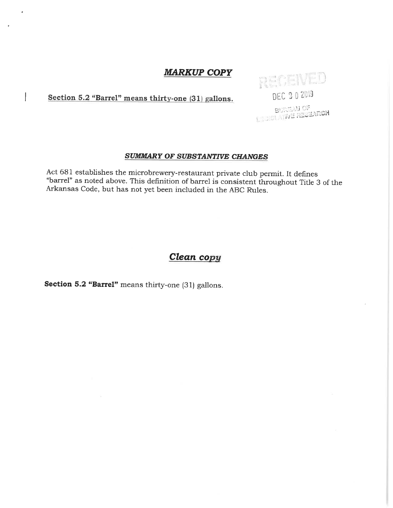Section 5.2 "Barrel" means thirty-one (31) gallons.

 $\overline{\phantom{a}}$ 

# RECEIVED DEC 202019

**BUNEAU OF**<br>LE GISLATIVE RESEARCH

#### **SUMMARY OF SUBSTANTIVE CHANGES**

Act 681 establishes the microbrewery-restaurant private club permit. It defines "barrel" as noted above. This definition of barrel is consistent throughout Title 3 of the Arkansas Code, but has not yet been included in the ABC Rules.

# Clean copy

Section 5.2 "Barrel" means thirty-one (31) gallons.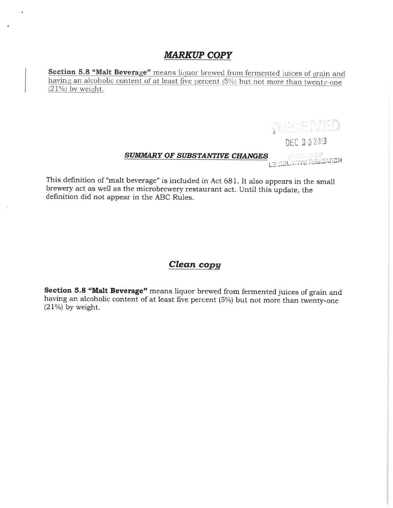Section 5.8 "Malt Beverage" means liquor brewed from fermented juices of grain and having an alcoholic content of at least five percent (5%) but not more than twenty-one  $(21%)$  by weight.

RECEIVED

DEC 202019

i<br>Lectslattve research **SUMMARY OF SUBSTANTIVE CHANGES** 

This definition of "malt beverage" is included in Act 681. It also appears in the small brewery act as well as the microbrewery restaurant act. Until this update, the definition did not appear in the ABC Rules.

## Clean copy

Section 5.8 "Malt Beverage" means liquor brewed from fermented juices of grain and having an alcoholic content of at least five percent (5%) but not more than twenty-one  $(21\%)$  by weight.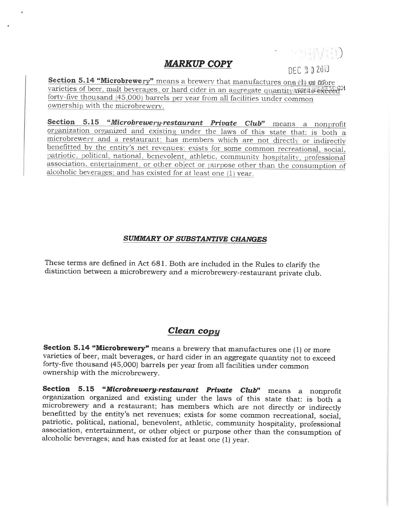DEC 202019

rena (Varia)

Section 5.14 "Microbrewery" means a brewery that manufactures one (1) ou frore varieties of beer, malt beverages, or hard cider in an aggregate quantity not a search forty-five thousand (45,000) barrels per year from all facilities under common ownership with the microbrewery.

Section 5.15 "Microbrewery-restaurant Private Club" means a nonprofit organization organized and existing under the laws of this state that: is both a microbrewery and a restaurant; has members which are not directly or indirectly benefitted by the entity's net revenues; exists for some common recreational, social, patriotic, political, national, benevolent, athletic, community hospitality, professional association, entertainment, or other object or purpose other than the consumption of alcoholic beverages; and has existed for at least one (1) year.

#### **SUMMARY OF SUBSTANTIVE CHANGES**

These terms are defined in Act 681. Both are included in the Rules to clarify the distinction between a microbrewery and a microbrewery-restaurant private club.

## Clean copy

Section 5.14 "Microbrewery" means a brewery that manufactures one (1) or more varieties of beer, malt beverages, or hard cider in an aggregate quantity not to exceed forty-five thousand (45,000) barrels per year from all facilities under common ownership with the microbrewery.

Section 5.15 "Microbrewery-restaurant Private Club" means a nonprofit organization organized and existing under the laws of this state that: is both a microbrewery and a restaurant; has members which are not directly or indirectly benefitted by the entity's net revenues; exists for some common recreational, social, patriotic, political, national, benevolent, athletic, community hospitality, professional association, entertainment, or other object or purpose other than the consumption of alcoholic beverages; and has existed for at least one (1) year.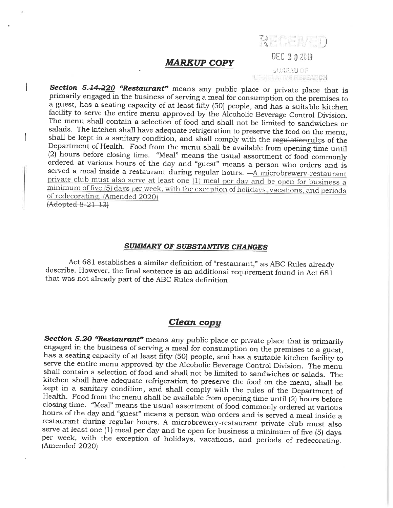SUREAU OF **WERESEARCH** 

RECEIVED

DEC 2 0 2019

Section 5.14.220 "Restaurant" means any public place or private place that is primarily engaged in the business of serving a meal for consumption on the premises to a guest, has a seating capacity of at least fifty (50) people, and has a suitable kitchen facility to serve the entire menu approved by the Alcoholic Beverage Control Division. The menu shall contain a selection of food and shall not be limited to sandwiches or salads. The kitchen shall have adequate refrigeration to preserve the food on the menu, shall be kept in a sanitary condition, and shall comply with the regulationrules of the Department of Health. Food from the menu shall be available from opening time until (2) hours before closing time. "Meal" means the usual assortment of food commonly ordered at various hours of the day and "guest" means a person who orders and is served a meal inside a restaurant during regular hours.  $-\overrightarrow{A}$  microbrewery-restaurant private club must also serve at least one (1) meal per day and be open for business a minimum of five (5) days per week, with the exception of holidays, vacations, and periods of redecorating. (Amended 2020)  $(Adopted 8-21-13)$ 

#### SUMMARY OF SUBSTANTIVE CHANGES

Act 681 establishes a similar definition of "restaurant," as ABC Rules already describe. However, the final sentence is an additional requirement found in Act 681 that was not already part of the ABC Rules definition.

#### Clean copy

Section 5.20 "Restaurant" means any public place or private place that is primarily engaged in the business of serving a meal for consumption on the premises to a guest, has a seating capacity of at least fifty (50) people, and has a suitable kitchen facility to serve the entire menu approved by the Alcoholic Beverage Control Division. The menu shall contain a selection of food and shall not be limited to sandwiches or salads. The kitchen shall have adequate refrigeration to preserve the food on the menu, shall be kept in a sanitary condition, and shall comply with the rules of the Department of Health. Food from the menu shall be available from opening time until (2) hours before closing time. "Meal" means the usual assortment of food commonly ordered at various hours of the day and "guest" means a person who orders and is served a meal inside a restaurant during regular hours. A microbrewery-restaurant private club must also serve at least one (1) meal per day and be open for business a minimum of five (5) days per week, with the exception of holidays, vacations, and periods of redecorating. (Amended 2020)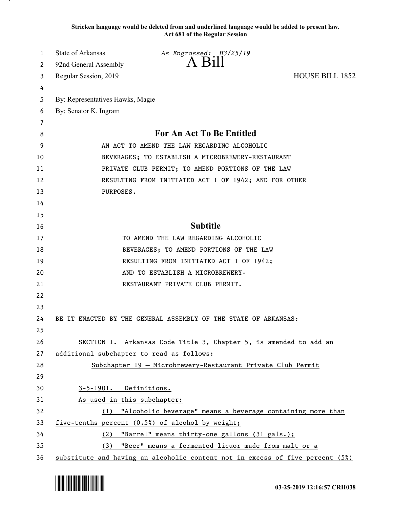**Stricken language would be deleted from and underlined language would be added to present law. Act 681 of the Regular Session**

| $A$ Bill<br>92nd General Assembly<br>2<br>Regular Session, 2019<br>3<br>4<br>By: Representatives Hawks, Magie<br>5<br>By: Senator K. Ingram<br>6<br>7<br><b>For An Act To Be Entitled</b> | <b>HOUSE BILL 1852</b> |
|-------------------------------------------------------------------------------------------------------------------------------------------------------------------------------------------|------------------------|
|                                                                                                                                                                                           |                        |
|                                                                                                                                                                                           |                        |
|                                                                                                                                                                                           |                        |
|                                                                                                                                                                                           |                        |
|                                                                                                                                                                                           |                        |
|                                                                                                                                                                                           |                        |
| 8                                                                                                                                                                                         |                        |
| 9<br>AN ACT TO AMEND THE LAW REGARDING ALCOHOLIC                                                                                                                                          |                        |
| 10<br>BEVERAGES; TO ESTABLISH A MICROBREWERY-RESTAURANT                                                                                                                                   |                        |
| PRIVATE CLUB PERMIT; TO AMEND PORTIONS OF THE LAW<br>11                                                                                                                                   |                        |
| 12<br>RESULTING FROM INITIATED ACT 1 OF 1942; AND FOR OTHER                                                                                                                               |                        |
| PURPOSES.<br>13                                                                                                                                                                           |                        |
| 14                                                                                                                                                                                        |                        |
| 15                                                                                                                                                                                        |                        |
| <b>Subtitle</b><br>16                                                                                                                                                                     |                        |
| TO AMEND THE LAW REGARDING ALCOHOLIC<br>17                                                                                                                                                |                        |
| BEVERAGES; TO AMEND PORTIONS OF THE LAW<br>18                                                                                                                                             |                        |
| RESULTING FROM INITIATED ACT 1 OF 1942;<br>19                                                                                                                                             |                        |
| 20<br>AND TO ESTABLISH A MICROBREWERY-                                                                                                                                                    |                        |
| 21<br>RESTAURANT PRIVATE CLUB PERMIT.                                                                                                                                                     |                        |
| 22                                                                                                                                                                                        |                        |
| 23                                                                                                                                                                                        |                        |
| 24<br>BE IT ENACTED BY THE GENERAL ASSEMBLY OF THE STATE OF ARKANSAS:                                                                                                                     |                        |
| 25                                                                                                                                                                                        |                        |
| 26<br>SECTION 1. Arkansas Code Title 3, Chapter 5, is amended to add an                                                                                                                   |                        |
| 27<br>additional subchapter to read as follows:                                                                                                                                           |                        |
| 28<br>Subchapter 19 - Microbrewery-Restaurant Private Club Permit                                                                                                                         |                        |
| 29                                                                                                                                                                                        |                        |
| 3-5-1901. Definitions.<br>30                                                                                                                                                              |                        |
| 31<br>As used in this subchapter:                                                                                                                                                         |                        |
| 32<br>(1) "Alcoholic beverage" means a beverage containing more than                                                                                                                      |                        |
| 33<br>five-tenths percent (0.5%) of alcohol by weight;                                                                                                                                    |                        |
| 34<br>(2)<br>"Barrel" means thirty-one gallons (31 gals.);                                                                                                                                |                        |
| 35<br>(3) "Beer" means a fermented liquor made from malt or a<br>36<br>substitute and having an alcoholic content not in excess of five percent (5%)                                      |                        |

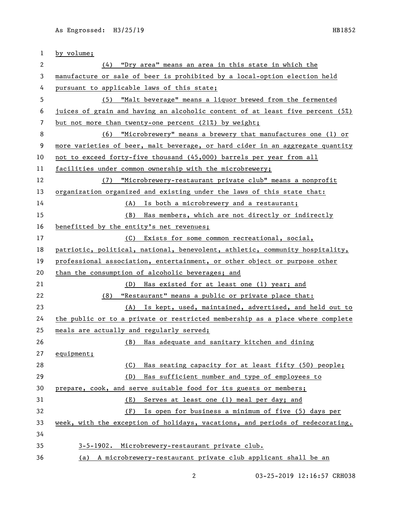| 1            | by volume;                                                                    |
|--------------|-------------------------------------------------------------------------------|
| $\mathbf{2}$ | (4) "Dry area" means an area in this state in which the                       |
| 3            | manufacture or sale of beer is prohibited by a local-option election held     |
| 4            | pursuant to applicable laws of this state;                                    |
| 5            | (5) "Malt beverage" means a liquor brewed from the fermented                  |
| 6            | juices of grain and having an alcoholic content of at least five percent (5%) |
| 7            | but not more than twenty-one percent (21%) by weight;                         |
| 8            | (6) "Microbrewery" means a brewery that manufactures one (1) or               |
| 9            | more varieties of beer, malt beverage, or hard cider in an aggregate quantity |
| 10           | not to exceed forty-five thousand (45,000) barrels per year from all          |
| 11           | facilities under common ownership with the microbrewery;                      |
| 12           | "Microbrewery-restaurant private club" means a nonprofit<br>(7)               |
| 13           | organization organized and existing under the laws of this state that:        |
| 14           | (A) Is both a microbrewery and a restaurant;                                  |
| 15           | (B) Has members, which are not directly or indirectly                         |
| 16           | benefitted by the entity's net revenues;                                      |
| 17           | (C) Exists for some common recreational, social,                              |
| 18           | patriotic, political, national, benevolent, athletic, community hospitality,  |
| 19           | professional association, entertainment, or other object or purpose other     |
| 20           | than the consumption of alcoholic beverages; and                              |
| 21           | (D) Has existed for at least one (1) year; and                                |
| 22           | "Restaurant" means a public or private place that:<br>(8)                     |
| 23           | (A) Is kept, used, maintained, advertised, and held out to                    |
| 24           | the public or to a private or restricted membership as a place where complete |
| 25           | meals are actually and regularly served;                                      |
| 26           | Has adequate and sanitary kitchen and dining<br>(B)                           |
| 27           | equipment;                                                                    |
| 28           | Has seating capacity for at least fifty (50) people;<br>(C)                   |
| 29           | (D)<br>Has sufficient number and type of employees to                         |
| 30           | prepare, cook, and serve suitable food for its guests or members;             |
| 31           | Serves at least one (1) meal per day; and<br>(E)                              |
| 32           | (F)<br>Is open for business a minimum of five (5) days per                    |
| 33           | week, with the exception of holidays, vacations, and periods of redecorating. |
| 34           |                                                                               |
| 35           | 3-5-1902. Microbrewery-restaurant private club.                               |
| 36           | (a) A microbrewery-restaurant private club applicant shall be an              |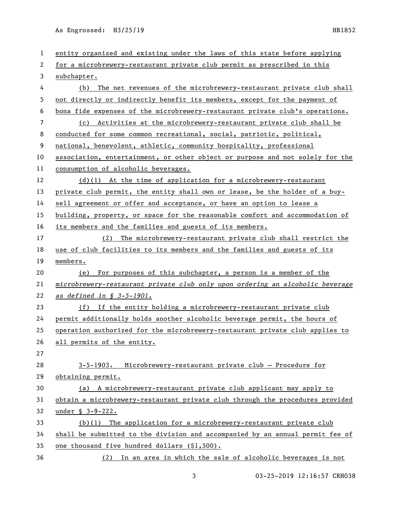| 1  | entity organized and existing under the laws of this state before applying    |
|----|-------------------------------------------------------------------------------|
| 2  | for a microbrewery-restaurant private club permit as prescribed in this       |
| 3  | subchapter.                                                                   |
| 4  | (b) The net revenues of the microbrewery-restaurant private club shall        |
| 5  | not directly or indirectly benefit its members, except for the payment of     |
| 6  | bona fide expenses of the microbrewery-restaurant private club's operations.  |
| 7  | (c) Activities at the microbrewery-restaurant private club shall be           |
| 8  | conducted for some common recreational, social, patriotic, political,         |
| 9  | national, benevolent, athletic, community hospitality, professional           |
| 10 | association, entertainment, or other object or purpose and not solely for the |
| 11 | consumption of alcoholic beverages.                                           |
| 12 | $(d)(1)$ At the time of application for a microbrewery-restaurant             |
| 13 | private club permit, the entity shall own or lease, be the holder of a buy-   |
| 14 | sell agreement or offer and acceptance, or have an option to lease a          |
| 15 | building, property, or space for the reasonable comfort and accommodation of  |
| 16 | its members and the families and guests of its members.                       |
| 17 | (2)<br>The microbrewery-restaurant private club shall restrict the            |
| 18 | use of club facilities to its members and the families and guests of its      |
| 19 | members.                                                                      |
| 20 | (e) For purposes of this subchapter, a person is a member of the              |
| 21 | microbrewery-restaurant private club only upon ordering an alcoholic beverage |
| 22 | as defined in § 3-5-1901.                                                     |
| 23 | (f) If the entity holding a microbrewery-restaurant private club              |
| 24 | permit additionally holds another alcoholic beverage permit, the hours of     |
| 25 | operation authorized for the microbrewery-restaurant private club applies to  |
| 26 | all permits of the entity.                                                    |
| 27 |                                                                               |
| 28 | 3-5-1903. Microbrewery-restaurant private club - Procedure for                |
| 29 | obtaining permit.                                                             |
| 30 | (a) A microbrewery-restaurant private club applicant may apply to             |
| 31 | obtain a microbrewery-restaurant private club through the procedures provided |
| 32 | under § 3-9-222.                                                              |
| 33 | (b)(1) The application for a microbrewery-restaurant private club             |
| 34 | shall be submitted to the division and accompanied by an annual permit fee of |
| 35 | one thousand five hundred dollars (\$1,500).                                  |
| 36 | In an area in which the sale of alcoholic beverages is not<br>(2)             |
|    |                                                                               |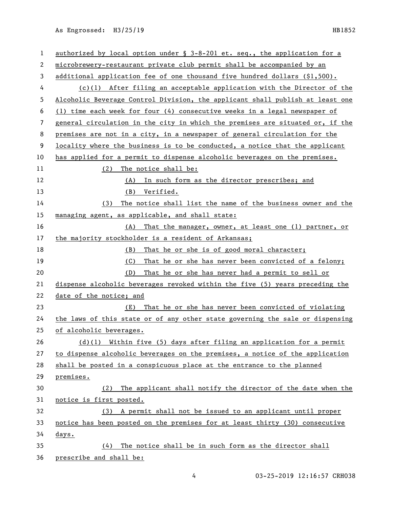| 1  | authorized by local option under § 3-8-201 et. seq., the application for a    |
|----|-------------------------------------------------------------------------------|
| 2  | microbrewery-restaurant private club permit shall be accompanied by an        |
| 3  | additional application fee of one thousand five hundred dollars $(1,500)$ .   |
| 4  | $(c)(1)$ After filing an acceptable application with the Director of the      |
| 5  | Alcoholic Beverage Control Division, the applicant shall publish at least one |
| 6  | (1) time each week for four (4) consecutive weeks in a legal newspaper of     |
| 7  | general circulation in the city in which the premises are situated or, if the |
| 8  | premises are not in a city, in a newspaper of general circulation for the     |
| 9  | locality where the business is to be conducted, a notice that the applicant   |
| 10 | has applied for a permit to dispense alcoholic beverages on the premises.     |
| 11 | (2)<br>The notice shall be:                                                   |
| 12 | (A) In such form as the director prescribes; and                              |
| 13 | (B) Verified.                                                                 |
| 14 | The notice shall list the name of the business owner and the<br>(3)           |
| 15 | managing agent, as applicable, and shall state:                               |
| 16 | (A) That the manager, owner, at least one (1) partner, or                     |
| 17 | the majority stockholder is a resident of Arkansas;                           |
| 18 | That he or she is of good moral character;<br>(B)                             |
| 19 | (C)<br>That he or she has never been convicted of a felony;                   |
| 20 | That he or she has never had a permit to sell or<br>(D)                       |
| 21 | dispense alcoholic beverages revoked within the five (5) years preceding the  |
| 22 | date of the notice; and                                                       |
| 23 | That he or she has never been convicted of violating<br>(E)                   |
| 24 | the laws of this state or of any other state governing the sale or dispensing |
| 25 | of alcoholic beverages.                                                       |
| 26 | $(d)(1)$ Within five (5) days after filing an application for a permit        |
| 27 | to dispense alcoholic beverages on the premises, a notice of the application  |
| 28 | shall be posted in a conspicuous place at the entrance to the planned         |
| 29 | premises.                                                                     |
| 30 | The applicant shall notify the director of the date when the<br>(2)           |
| 31 | notice is first posted.                                                       |
| 32 | (3) A permit shall not be issued to an applicant until proper                 |
| 33 | notice has been posted on the premises for at least thirty (30) consecutive   |
| 34 | days.                                                                         |
| 35 | The notice shall be in such form as the director shall<br>(4)                 |
| 36 | prescribe and shall be:                                                       |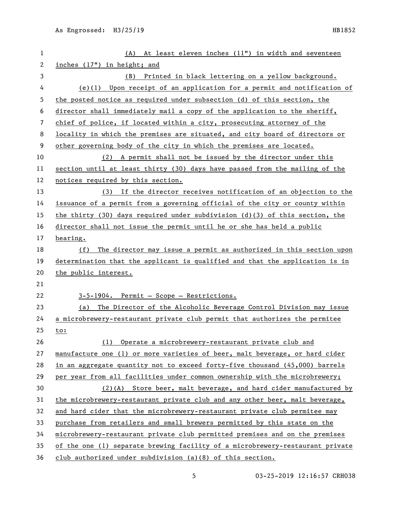| $\mathbf{1}$   | (A) At least eleven inches (11") in width and seventeen                         |
|----------------|---------------------------------------------------------------------------------|
| $\overline{c}$ | inches (17") in height; and                                                     |
| 3              | (B) Printed in black lettering on a yellow background.                          |
| 4              | $(e)(1)$ Upon receipt of an application for a permit and notification of        |
| 5              | the posted notice as required under subsection (d) of this section, the         |
| 6              | director shall immediately mail a copy of the application to the sheriff,       |
| 7              | chief of police, if located within a city, prosecuting attorney of the          |
| 8              | locality in which the premises are situated, and city board of directors or     |
| 9              | other governing body of the city in which the premises are located.             |
| 10             | (2) A permit shall not be issued by the director under this                     |
| 11             | section until at least thirty (30) days have passed from the mailing of the     |
| 12             | notices required by this section.                                               |
| 13             | (3) If the director receives notification of an objection to the                |
| 14             | issuance of a permit from a governing official of the city or county within     |
| 15             | the thirty $(30)$ days required under subdivision $(d)(3)$ of this section, the |
| 16             | director shall not issue the permit until he or she has held a public           |
| 17             | hearing.                                                                        |
| 18             | (f) The director may issue a permit as authorized in this section upon          |
| 19             | determination that the applicant is qualified and that the application is in    |
| 20             | the public interest.                                                            |
| 21             |                                                                                 |
| 22             | 3-5-1904. Permit - Scope - Restrictions.                                        |
| 23             | (a) The Director of the Alcoholic Beverage Control Division may issue           |
| 24             | a microbrewery-restaurant private club permit that authorizes the permitee      |
| 25             | to:                                                                             |
| 26             | (1) Operate a microbrewery-restaurant private club and                          |
| 27             | manufacture one (1) or more varieties of beer, malt beverage, or hard cider     |
| 28             | in an aggregate quantity not to exceed forty-five thousand (45,000) barrels     |
| 29             | per year from all facilities under common ownership with the microbrewery;      |
| 30             | (2)(A) Store beer, malt beverage, and hard cider manufactured by                |
| 31             | the microbrewery-restaurant private club and any other beer, malt beverage,     |
| 32             | and hard cider that the microbrewery-restaurant private club permitee may       |
| 33             | purchase from retailers and small brewers permitted by this state on the        |
| 34             | microbrewery-restaurant private club permitted premises and on the premises     |
| 35             | of the one (1) separate brewing facility of a microbrewery-restaurant private   |
| 36             | club authorized under subdivision $(a)(8)$ of this section.                     |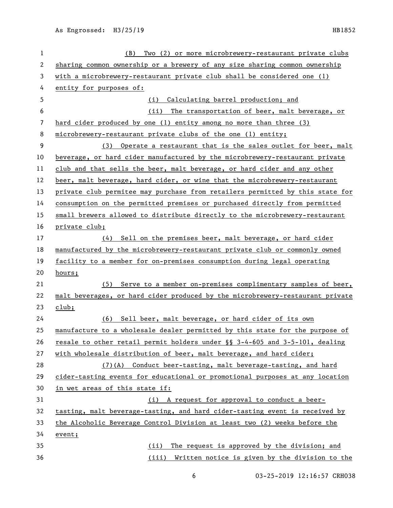| $\mathbf 1$ | (B)<br>Two (2) or more microbrewery-restaurant private clubs                  |
|-------------|-------------------------------------------------------------------------------|
| 2           | sharing common ownership or a brewery of any size sharing common ownership    |
| 3           | with a microbrewery-restaurant private club shall be considered one (1)       |
| 4           | entity for purposes of:                                                       |
| 5           | (i) Calculating barrel production; and                                        |
| 6           | The transportation of beer, malt beverage, or<br>(ii)                         |
| 7           | hard cider produced by one (1) entity among no more than three (3)            |
| 8           | microbrewery-restaurant private clubs of the one (1) entity;                  |
| 9           | Operate a restaurant that is the sales outlet for beer, malt<br>(3)           |
| 10          | beverage, or hard cider manufactured by the microbrewery-restaurant private   |
| 11          | club and that sells the beer, malt beverage, or hard cider and any other      |
| 12          | beer, malt beverage, hard cider, or wine that the microbrewery-restaurant     |
| 13          | private club permitee may purchase from retailers permitted by this state for |
| 14          | consumption on the permitted premises or purchased directly from permitted    |
| 15          | small brewers allowed to distribute directly to the microbrewery-restaurant   |
| 16          | private club;                                                                 |
| 17          | Sell on the premises beer, malt beverage, or hard cider<br>(4)                |
| 18          | manufactured by the microbrewery-restaurant private club or commonly owned    |
| 19          | facility to a member for on-premises consumption during legal operating       |
| 20          | hours;                                                                        |
| 21          | Serve to a member on-premises complimentary samples of beer,<br>(5)           |
| 22          | malt beverages, or hard cider produced by the microbrewery-restaurant private |
| 23          | club;                                                                         |
| 24          | Sell beer, malt beverage, or hard cider of its own<br>(6)                     |
| 25          | manufacture to a wholesale dealer permitted by this state for the purpose of  |
| 26          | resale to other retail permit holders under §§ 3-4-605 and 3-5-101, dealing   |
| 27          | with wholesale distribution of beer, malt beverage, and hard cider;           |
| 28          | (7)(A) Conduct beer-tasting, malt beverage-tasting, and hard                  |
| 29          | cider-tasting events for educational or promotional purposes at any location  |
| 30          | in wet areas of this state if:                                                |
| 31          | (i) A request for approval to conduct a beer-                                 |
| 32          | tasting, malt beverage-tasting, and hard cider-tasting event is received by   |
| 33          | the Alcoholic Beverage Control Division at least two (2) weeks before the     |
| 34          | event;                                                                        |
| 35          | The request is approved by the division; and<br>(ii)                          |
| 36          | (iii) Written notice is given by the division to the                          |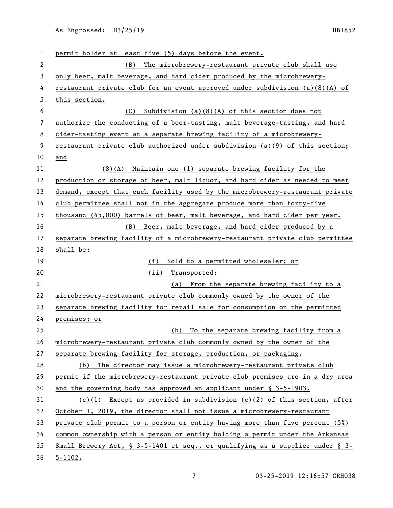| 1              | permit holder at least five (5) days before the event.                         |
|----------------|--------------------------------------------------------------------------------|
| $\mathbf{2}$   | (B) The microbrewery-restaurant private club shall use                         |
| 3              | only beer, malt beverage, and hard cider produced by the microbrewery-         |
| 4              | restaurant private club for an event approved under subdivision $(a)(8)(A)$ of |
| 5              | this section.                                                                  |
| 6              | Subdivision $(a)(8)(A)$ of this section does not<br>(C)                        |
| $\overline{7}$ | authorize the conducting of a beer-tasting, malt beverage-tasting, and hard    |
| 8              | cider-tasting event at a separate brewing facility of a microbrewery-          |
| 9              | restaurant private club authorized under subdivision (a)(9) of this section;   |
| 10             | and                                                                            |
| 11             | $(8)(A)$ Maintain one (1) separate brewing facility for the                    |
| 12             | production or storage of beer, malt liquor, and hard cider as needed to meet   |
| 13             | demand, except that each facility used by the microbrewery-restaurant private  |
| 14             | club permittee shall not in the aggregate produce more than forty-five         |
| 15             | thousand (45,000) barrels of beer, malt beverage, and hard cider per year.     |
| 16             | (B) Beer, malt beverage, and hard cider produced by a                          |
| 17             | separate brewing facility of a microbrewery-restaurant private club permittee  |
| 18             | shall be:                                                                      |
| 19             | Sold to a permitted wholesaler; or<br>(i)                                      |
| 20             | (ii) Transported:                                                              |
| 21             | (a) From the separate brewing facility to a                                    |
| 22             | microbrewery-restaurant private club commonly owned by the owner of the        |
| 23             | separate brewing facility for retail sale for consumption on the permitted     |
| 24             | premises; or                                                                   |
| 25             | To the separate brewing facility from a<br>(b)                                 |
| 26             | microbrewery-restaurant private club commonly owned by the owner of the        |
| 27             | separate brewing facility for storage, production, or packaging.               |
| 28             | (b) The director may issue a microbrewery-restaurant private club              |
| 29             | permit if the microbrewery-restaurant private club premises are in a dry area  |
| 30             | and the governing body has approved an applicant under $\S$ 3-5-1903.          |
| 31             | $(c)(1)$ Except as provided in subdivision $(c)(2)$ of this section, after     |
| 32             | October 1, 2019, the director shall not issue a microbrewery-restaurant        |
| 33             | private club permit to a person or entity having more than five percent $(5%)$ |
| 34             | common ownership with a person or entity holding a permit under the Arkansas   |
| 35             | Small Brewery Act, § 3-5-1401 et seq., or qualifying as a supplier under § 3-  |
|                |                                                                                |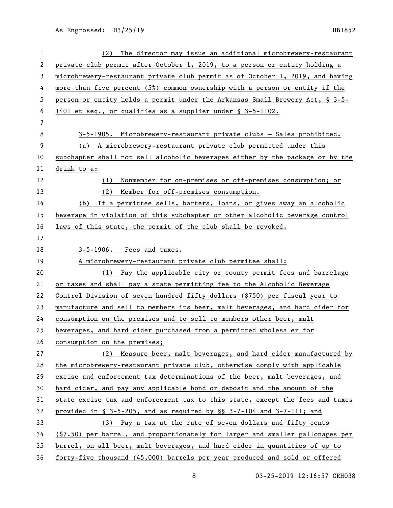| $\mathbf{1}$   | The director may issue an additional microbrewery-restaurant<br>(2)            |
|----------------|--------------------------------------------------------------------------------|
| 2              | private club permit after October 1, 2019, to a person or entity holding a     |
| 3              | microbrewery-restaurant private club permit as of October 1, 2019, and having  |
| 4              | more than five percent (5%) common ownership with a person or entity if the    |
| 5              | person or entity holds a permit under the Arkansas Small Brewery Act, § 3-5-   |
| 6              | 1401 et seq., or qualifies as a supplier under § 3-5-1102.                     |
| $\overline{7}$ |                                                                                |
| 8              | 3-5-1905. Microbrewery-restaurant private clubs - Sales prohibited.            |
| 9              | (a) A microbrewery-restaurant private club permitted under this                |
| 10             | subchapter shall not sell alcoholic beverages either by the package or by the  |
| 11             | drink to a:                                                                    |
| 12             | Nonmember for on-premises or off-premises consumption; or<br>(1)               |
| 13             | Member for off-premises consumption.<br>(2)                                    |
| 14             | (b) If a permittee sells, barters, loans, or gives away an alcoholic           |
| 15             | beverage in violation of this subchapter or other alcoholic beverage control   |
| 16             | laws of this state, the permit of the club shall be revoked.                   |
| 17             |                                                                                |
| 18             | $3-5-1906$ . Fees and taxes.                                                   |
| 19             | A microbrewery-restaurant private club permitee shall:                         |
| 20             | (1) Pay the applicable city or county permit fees and barrelage                |
| 21             | or taxes and shall pay a state permitting fee to the Alcoholic Beverage        |
| 22             | Control Division of seven hundred fifty dollars (\$750) per fiscal year to     |
| 23             | manufacture and sell to members its beer, malt beverages, and hard cider for   |
| 24             | consumption on the premises and to sell to members other beer, malt            |
| 25             | beverages, and hard cider purchased from a permitted wholesaler for            |
| 26             | consumption on the premises;                                                   |
| 27             | (2) Measure beer, malt beverages, and hard cider manufactured by               |
| 28             | the microbrewery-restaurant private club, otherwise comply with applicable     |
| 29             | excise and enforcement tax determinations of the beer, malt beverages, and     |
| 30             | hard cider, and pay any applicable bond or deposit and the amount of the       |
| 31             | state excise tax and enforcement tax to this state, except the fees and taxes  |
| 32             | provided in § 3-5-205, and as required by § § 3-7-104 and 3-7-111; and         |
| 33             | (3) Pay a tax at the rate of seven dollars and fifty cents                     |
| 34             | (\$7.50) per barrel, and proportionately for larger and smaller gallonages per |
| 35             | barrel, on all beer, malt beverages, and hard cider in quantities of up to     |
| 36             | forty-five thousand (45,000) barrels per year produced and sold or offered     |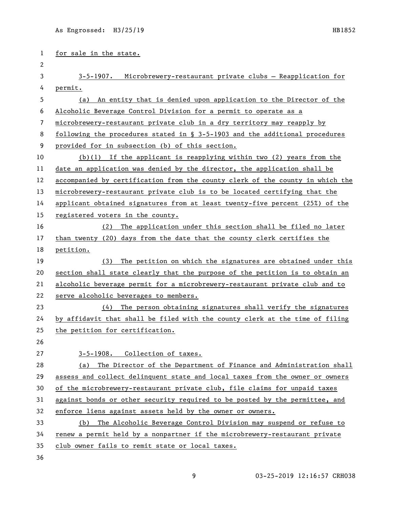| 1  | for sale in the state.                                                         |
|----|--------------------------------------------------------------------------------|
| 2  |                                                                                |
| 3  | 3-5-1907. Microbrewery-restaurant private clubs - Reapplication for            |
| 4  | permit.                                                                        |
| 5  | An entity that is denied upon application to the Director of the<br>(a)        |
| 6  | Alcoholic Beverage Control Division for a permit to operate as a               |
| 7  | microbrewery-restaurant private club in a dry territory may reapply by         |
| 8  | following the procedures stated in $\S$ 3-5-1903 and the additional procedures |
| 9  | provided for in subsection (b) of this section.                                |
| 10 | $(b)(1)$ If the applicant is reapplying within two (2) years from the          |
| 11 | date an application was denied by the director, the application shall be       |
| 12 | accompanied by certification from the county clerk of the county in which the  |
| 13 | microbrewery-restaurant private club is to be located certifying that the      |
| 14 | applicant obtained signatures from at least twenty-five percent (25%) of the   |
| 15 | registered voters in the county.                                               |
| 16 | The application under this section shall be filed no later<br>(2)              |
| 17 | than twenty (20) days from the date that the county clerk certifies the        |
| 18 | petition.                                                                      |
| 19 | The petition on which the signatures are obtained under this<br>(3)            |
| 20 | section shall state clearly that the purpose of the petition is to obtain an   |
| 21 | alcoholic beverage permit for a microbrewery-restaurant private club and to    |
| 22 | serve alcoholic beverages to members.                                          |
| 23 | The person obtaining signatures shall verify the signatures<br>(4)             |
| 24 | by affidavit that shall be filed with the county clerk at the time of filing   |
| 25 | the petition for certification.                                                |
| 26 |                                                                                |
| 27 | 3-5-1908. Collection of taxes.                                                 |
| 28 | The Director of the Department of Finance and Administration shall<br>(a)      |
| 29 | assess and collect delinquent state and local taxes from the owner or owners   |
| 30 | of the microbrewery-restaurant private club, file claims for unpaid taxes      |
| 31 | against bonds or other security required to be posted by the permittee, and    |
| 32 | enforce liens against assets held by the owner or owners.                      |
| 33 | The Alcoholic Beverage Control Division may suspend or refuse to<br>(b)        |
| 34 | renew a permit held by a nonpartner if the microbrewery-restaurant private     |
| 35 | club owner fails to remit state or local taxes.                                |

36